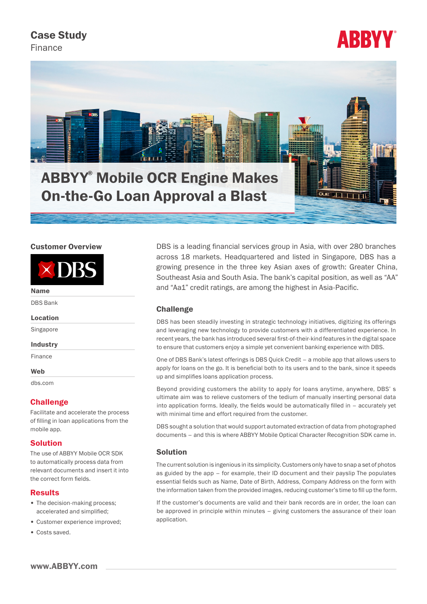Case Study

Finance





# Customer Overview



Name

DBS Bank

#### Location

Singapore

### Industry

Finance

#### **Web**

dbs.com

## **Challenge**

Facilitate and accelerate the process of filling in loan applications from the mobile app.

# Solution

The use of ABBYY Mobile OCR SDK to automatically process data from relevant documents and insert it into the correct form fields.

### Results

- The decision-making process; accelerated and simplified;
- Customer experience improved;
- Costs saved.

DBS is a leading financial services group in Asia, with over 280 branches across 18 markets. Headquartered and listed in Singapore, DBS has a growing presence in the three key Asian axes of growth: Greater China, Southeast Asia and South Asia. The bank's capital position, as well as "AA" and "Aa1" credit ratings, are among the highest in Asia-Pacific.

## **Challenge**

DBS has been steadily investing in strategic technology initiatives, digitizing its offerings and leveraging new technology to provide customers with a differentiated experience. In recent years, the bank has introduced several first-of-their-kind features in the digital space to ensure that customers enjoy a simple yet convenient banking experience with DBS.

One of DBS Bank's latest offerings is DBS Quick Credit – a mobile app that allows users to apply for loans on the go. It is beneficial both to its users and to the bank, since it speeds up and simplifies loans application process.

Beyond providing customers the ability to apply for loans anytime, anywhere, DBS' s ultimate aim was to relieve customers of the tedium of manually inserting personal data into application forms. Ideally, the fields would be automatically filled in – accurately yet with minimal time and effort required from the customer.

DBS sought a solution that would support automated extraction of data from photographed documents – and this is where [ABBYY Mobile Optical Character Recognition S](http://www.abbyy.com/mobile-ocr/)DK came in.

## **Solution**

The current solution is ingenious in its simplicity. Customers only have to snap a set of photos as guided by the app – for example, their ID document and their payslip The populates essential fields such as Name, Date of Birth, Address, Company Address on the form with the information taken from the provided images, reducing customer's time to fill up the form.

If the customer's documents are valid and their bank records are in order, the loan can be approved in principle within minutes – giving customers the assurance of their loan application.